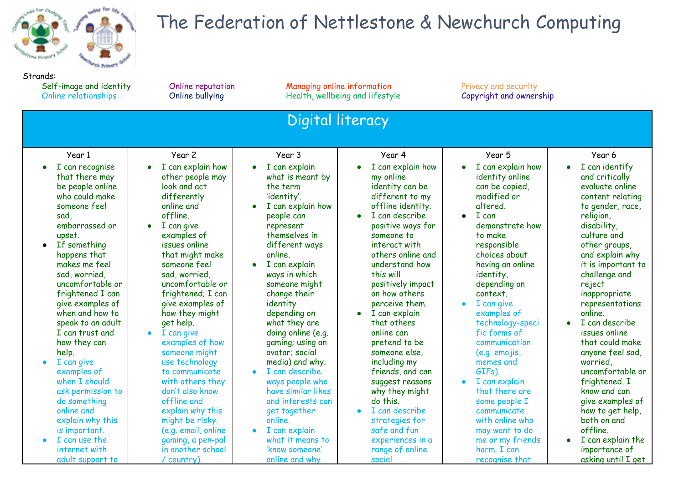

## The Federation of Nettlestone & Newchurch Computing

Strands:<br>Self-image and identity<br>Online relationships

Self-image and information Chine reputation Managing online information Privacy and security<br>Conline bullying Privacy Health, wellbeing and lifestyle Copyright and ownership Health, wellbeing and lifestyle

| Digital literacy                                                                                                                                                                                                                                                                                                                                                                                                                                           |                                                                                                                                                                                                                                                                                                                                                                                                                                                                                                     |                                                                                                                                                                                                                                                                                                                                                                                                                                                                        |                                                                                                                                                                                                                                                                                                                                                                                                                                                                    |                                                                                                                                                                                                                                                                                                                                                                                                                                 |                                                                                                                                                                                                                                                                                                                                                                                                                                                               |  |  |  |
|------------------------------------------------------------------------------------------------------------------------------------------------------------------------------------------------------------------------------------------------------------------------------------------------------------------------------------------------------------------------------------------------------------------------------------------------------------|-----------------------------------------------------------------------------------------------------------------------------------------------------------------------------------------------------------------------------------------------------------------------------------------------------------------------------------------------------------------------------------------------------------------------------------------------------------------------------------------------------|------------------------------------------------------------------------------------------------------------------------------------------------------------------------------------------------------------------------------------------------------------------------------------------------------------------------------------------------------------------------------------------------------------------------------------------------------------------------|--------------------------------------------------------------------------------------------------------------------------------------------------------------------------------------------------------------------------------------------------------------------------------------------------------------------------------------------------------------------------------------------------------------------------------------------------------------------|---------------------------------------------------------------------------------------------------------------------------------------------------------------------------------------------------------------------------------------------------------------------------------------------------------------------------------------------------------------------------------------------------------------------------------|---------------------------------------------------------------------------------------------------------------------------------------------------------------------------------------------------------------------------------------------------------------------------------------------------------------------------------------------------------------------------------------------------------------------------------------------------------------|--|--|--|
| Year 1                                                                                                                                                                                                                                                                                                                                                                                                                                                     | Year 2                                                                                                                                                                                                                                                                                                                                                                                                                                                                                              | Year 3                                                                                                                                                                                                                                                                                                                                                                                                                                                                 | Year 4                                                                                                                                                                                                                                                                                                                                                                                                                                                             | Year 5                                                                                                                                                                                                                                                                                                                                                                                                                          | Year 6                                                                                                                                                                                                                                                                                                                                                                                                                                                        |  |  |  |
| I can recognise<br>that there may<br>be people online<br>who could make<br>someone feel<br>sad.<br>embarrassed or<br>upset.<br>If something<br>$\bullet$<br>happens that<br>makes me feel<br>sad, worried<br>uncomfortable or<br>frightened I can<br>give examples of<br>when and how to<br>speak to an adult<br>I can trust and<br>how they can<br>help.<br>I can give<br>examples of<br>when I should<br>ask permission to<br>do something<br>online and | I can explain how<br>$\bullet$<br>other people may<br>look and act<br>differently<br>online and<br>offline.<br>I can give<br>$\bullet$<br>examples of<br>issues online<br>that might make<br>someone feel<br>sad, worried,<br>uncomfortable or<br>frightened; I can<br>give examples of<br>how they might<br>get help.<br>I can give<br>$\bullet$<br>examples of how<br>someone might<br>use technology<br>to communicate<br>with others they<br>don't also know<br>offline and<br>explain why this | I can explain<br>$\bullet$<br>what is meant by<br>the term<br>'identity'.<br>I can explain how<br>people can<br>represent<br>themselves in<br>different ways<br>online.<br>I can explain<br>ways in which<br>someone might<br>change their<br>identity<br>depending on<br>what they are<br>doing online (e.g.<br>gaming; using an<br>avatar; social<br>media) and why.<br>I can describe<br>ways people who<br>have similar likes<br>and interests can<br>get together | I can explain how<br>my online<br>identity can be<br>different to my<br>offline identity.<br>I can describe<br>positive ways for<br>someone to<br>interact with<br>others online and<br>understand how<br>this will<br>positively impact<br>on how others<br>perceive them.<br>I can explain<br>that others<br>online can<br>pretend to be<br>someone else,<br>including my<br>friends, and can<br>suggest reasons<br>why they might<br>do this.<br>I can describe | I can explain how<br>identity online<br>can be copied,<br>modified or<br>altered.<br>I can<br>$\bullet$<br>demonstrate how<br>to make<br>responsible<br>choices about<br>having an online<br>identity,<br>depending on<br>context.<br>I can give<br>examples of<br>technology-speci<br>fic forms of<br>communication<br>(e.g. emojis,<br>memes and<br>GIFs).<br>I can explain<br>that there are<br>some people I<br>communicate | I can identify<br>and critically<br>evaluate online<br>content relating<br>to gender, race,<br>religion,<br>disability,<br>culture and<br>other groups,<br>and explain why<br>it is important to<br>challenge and<br>reject<br>inappropriate<br>representations<br>online.<br>I can describe<br>issues online<br>that could make<br>anyone feel sad,<br>worried.<br>uncomfortable or<br>frightened. I<br>know and can<br>give examples of<br>how to get help, |  |  |  |
| explain why this<br>is important.<br>I can use the<br>$\bullet$<br>internet with<br>adult support to                                                                                                                                                                                                                                                                                                                                                       | might be risky.<br>(e.g. email, online<br>gaming, a pen-pal<br>in another school<br>country)                                                                                                                                                                                                                                                                                                                                                                                                        | online.<br>I can explain<br>what it means to<br>'know someone'<br>online and why                                                                                                                                                                                                                                                                                                                                                                                       | strategies for<br>safe and fun<br>experiences in a<br>range of online<br>social                                                                                                                                                                                                                                                                                                                                                                                    | with online who<br>may want to do<br>me or my friends<br>harm. I can<br>recognise that                                                                                                                                                                                                                                                                                                                                          | both on and<br>offline.<br>I can explain the<br>importance of<br>asking until I get                                                                                                                                                                                                                                                                                                                                                                           |  |  |  |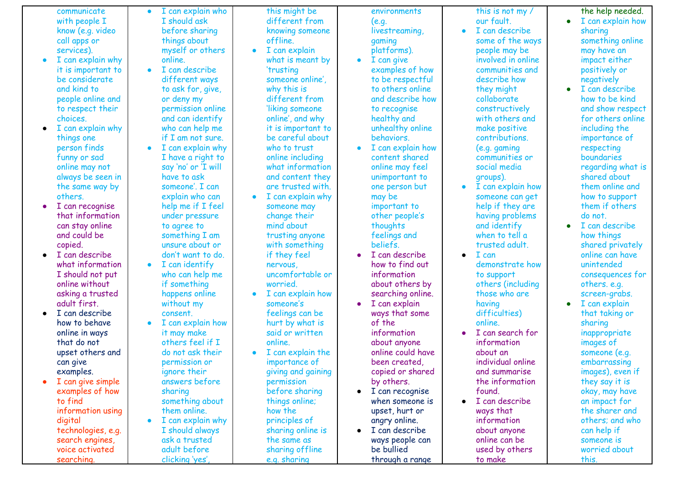communicate wit h p e o ple I know (e.g. video c all a p p s o r services). • I can explain why it is important to be considerate and kind to people online and to respect their choices. ● I can explain why things one person finds funny or sad online may not always be seen in the same way by others. ● I can recognise that information can stay online and could be copied. ● I can describe what information I should not put online without asking a trusted adult first. ● I can describe how to behave online in ways that do not upset others and can give examples. ● I can give simple examples of how to find information using digital technologies, e.g. search engines. voice activated communicate<br>with people I<br>know (e.g. video<br>services).<br>I can explain why<br>it is important to<br>be considerate<br>and kind to<br>people online and<br>choices.<br>I can explain why<br>things one<br>choices.<br>I can explain why<br>things one<br>person fin I c a n e x plain w h o I should ask before sharing things about myself or others o nlin e. • I can describe different ways to ask for, give, o r d e n y m y p e r mis sio n o nlin e and can identify who can help me if I am not sure. ● I can explain why I have a right to say 'no' or 'I will have to ask someone'. I can explain who can help me if I feel under pressure to agree to something I am unsure about or don't want to do. ● I can identify who can help me if something happens online without my consent. ● I can explain how it may make others feel if I do not ask their permission or ignore their answers before sharing something about them online. ● I can explain why I should always ask a trusted adult before clicking 'yes', t his mig h t b e different from knowing someone o f flin e. ● I can ex plain what is meant by 'trusting someone online', why this is different from 'liking someone online', and why it is important to be careful about who to trust online including what information and content they are trusted with. ● I can explain why someone may change their mind about trusting anyone with something if they feel nervous, uncomfortable or worried. ● I can explain how someone's feelings can be hurt by what is said or written online. ● I can explain the importance of giving and gaining **permission** before sharing things online; how the principles of sharing online is the same as sharing offline e.g. sharing environments ( e.g. livestreaming, g a min g platforms). ● I can give examples o f h o w to be respectful to others online and describe how to recognise healthy and unhealthy online behaviors. ● I can explain how content shared online may feel unimportant to one person but may be important to other people's thoughts feelings and beliefs. ● I can describe how to find out information about others by searching online. I can explain ways that some of the information about anyone online could have been created, copied or shared by others. ● I can recognise when someone is upset, hurt or angry online. ● I can describe ways people can be bullied through a range t his is n o t m y / our fault. • I can describe s o m e o f t h e w a y s people may be involved in onlin e c o m m u nitie s a n d d e s c rib e h o w they might collaborate constructively with others and make positive contributions. (e.g. gaming communities o r s o cial m e dia g r o u p s ). • I can explain how someone can get help if they are having problems a n d id e n tif y w h e n t o t ell a trusted adult. ● I can demonstrate h o w to support others (including those who are h a vin g dif fic ultie s ) o nlin e. • I can search for information about an individual online and summarise the information found. ● I can describe ways that information about anyone online can be used by others to make the help needed. I can explain how sharing something online may have an impact either positively or negatively I can describe how to be kind and show respect for others online including the importance of respecting **boundaries** regarding what is shared about them online and how to support them if others do not. ● I can describe how things shared privately online can have unintended consequences for others. e.g. screen-grabs.  $\bullet$  I can explain that taking or sharing inappropriate images of someone (e.g. embarrassing images), even if they say it is okay, may have an impact for the sharer and others; and who can help if someone is worried about this.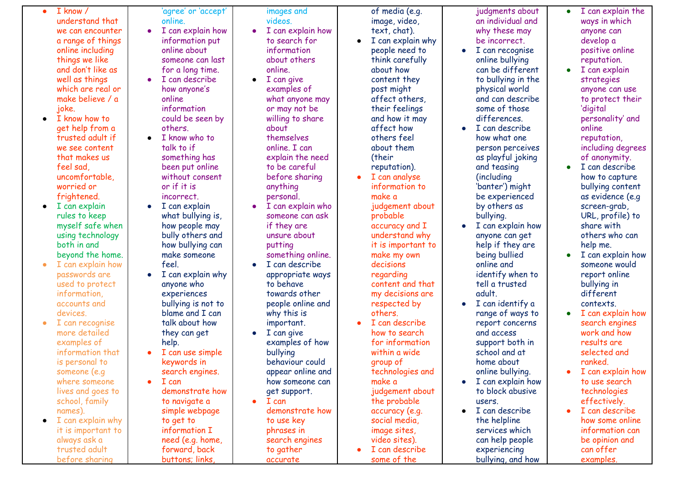I k n o w / understand that we can encounter a range of things o nlin e in clu din g t hin g s w e lik e and don't like as w ell a s t hin g s which are real or make believe / a j o k e. 1 know / 'ago<br>
we can encounter<br>
we can encounter<br>
a range of things<br>
online including<br>
things we like<br>
and on't like as<br>
which are real or<br>
which are real or<br>
make believe / a<br>
or<br>
make believe / a<br>
or<br>
make believe / a<br>

●

- I know how to get help from a trusted adult if we see content that makes us feel sad, u n c o m f o r t a ble , worried or frightened.
- $\bullet$  I can explain rules to keep myself safe w h e n using technology b o t h in a n d beyond the home.
- I can explain how passwords are used to protect information, accounts and devices.
- I can recognise more detailed examples of information that is personal to someone (e.g where someone lives and goes to school, family names).
- I can explain why it is important to always ask a trusted adult

gree' or 'accept' online.

- I can explain how information put online about someone can last for a long time.
- I can describe how anyone's online information could be seen by others.
- I know who to talk to if something has been put online without consent or if it is incorrect.
- $\bullet$  I can explain what bullying is. how people may bully others and how bullying can make someone feel.
- I can explain why anyone who experiences bullying is not to blame and I can talk about how they can get help.
- I can use simple keywords in search engines.
- I can demonstrate how to navigate a simple webpage to get to information I need (e.g. home, forward, back 'agree' or 'accept'<br>
Incomine.<br>
Incomination build<br>
Information put<br>
online about<br>
for a long time.<br>
for a long time.<br>
The a long time.<br>
Information put<br>
online about<br>
online about<br>
online about<br>
on anyone's<br>
online inform

ages and vid e o s.

- I can explain how to search for information about others online.
- I can give examples of what anyone m a y or may not be willing to share a b o u t t h e m s elv e s online. I can explain the need to be careful before sharin g a n y t hin g personal.
- I can explain who someone can ask if they are unsure about putting something online.
- $\bullet$  I can describe appropriate ways to behave towards other people online and why this is important.
- $\bullet$  I can give examples of how bullying behaviour could appear online and how someone can get support.
- I can demonstrate how to use key phrases in search engines to gather accurate

o f m e dia ( e.g. image, video, text, chat).

- I can explain why people need to think carefully about how content they p o s t mig h t affect others, their feelings and how it may a f f e c t h o w others feel about them (their reputation).
- I can analys e information t o make a judgement about p r o b a ble accuracy and I understand why it is important t o make my own d e cisio n s regarding content and that my decisions are respected by others.
- I can describe how to search for information wit hin a wid e group of technologies and make a judgement about the probable accuracy (e.g. social media, image sites, video sites). ● I can describe some of the

judgments about an individual and why these may be incorrect.

- I can recognis e o nlin e b ullyin g can be different to bullying in the p h y sic al w o rld and can describe some of those differences.
- I can describ e how what one person perceives as playful joking a n d t e a sin g (in clu din g 'banter') mig h t be experienced by others as
- b ullyin g. • I can explain how anyone can get help if they are b ein g b ullie d o nlin e a n d identify when to tell a trusted a d ult.
- $\bullet$  I can identify a range of ways to report concerns a n d a c c e s s support both in school and at home about o nlin e b ullyin g.
- I can explain how to block abusive users.
- I can describe t h e h elplin e s e r vic e s w hic h can help people experiencing bullying, and how

● I can explain the w a y s in w hic h anyone can develop a p o sitiv e o nlin e reputation.

- I can explain strategies anyone can us e to protect their 'digital personality' and online reputation, including degree s
- of anonymity. ● I can describ e how to capture bullying content as evidence (e.g screen-grab, U R L , p r o file ) t o share with others who can h elp m e.
- I can explain how someone would report online b ullyin g in different contexts.
- I can explain how search engines work and how results are selected and ranked.
- I can explain how to use search t e c h n olo gie s e f f e c tiv ely.
- I can describ e how some online information can be opinion and can offer examples.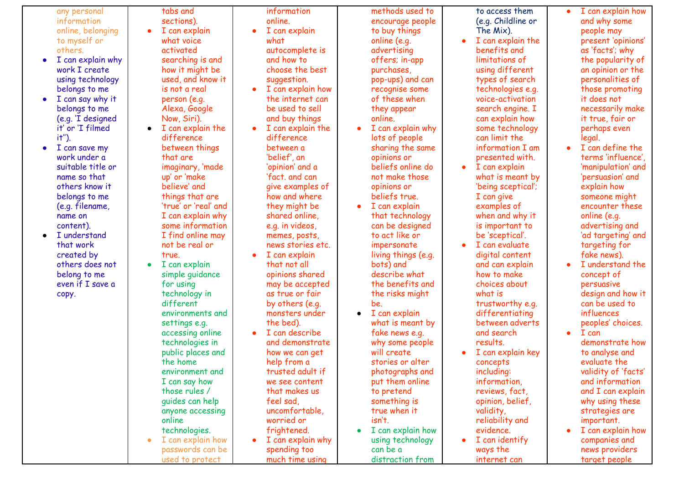any personal information online, belon gin g t o m y s elf o r others. • I can explain why work I create using technology belongs to me • I can say why it belongs to me ( e.g. 'I d e sig n e d it' or 'I filmed it''). ● I can save my work under a suitable title or name so that others know it belongs to me (e.g. filename, name on content). ● I understand that work created by others does not belong to me even if I save a any personal<br>
information<br>
online, belonging<br>
online, belonging<br>
others.<br>
I can explain why<br>
work I create<br>
using technology<br>
belongs to me<br>
I can say why it<br>
belongs to me<br>
(e.g. 'I designed<br>
it' or 'I filmed<br>
it'').<br>
I c abs and sections). ● I can explain what voice. activated searching is a n d how it might be u s e d , a n d k n o w it is not a real person (e.g. Alexa, Google Now, Siri). ● I can explain the difference between things that are imaginary, 'made up' or 'make believe' and things that are 'true' or 'real' and I can explain why some information I find online may not be real or true. ● I can explain simple *guidance* for using technology in different environments and settings e.g. accessing online technologies in public places and the home environment and I can say how those rules / guides can help anyone accessing online technologies. ● I can explain how passwords can be tabs and in:<br>
sections).<br>
I can explain on the might be<br>
lown it might be a divided searching is and an an on the might be<br>
lown is not a real of the search of the search of the search of the search of the search of the se formation o nlin e. • I can explain what a u t o c o m ple t e is a n d h o w t o choose the best suggestion. • I can explain how the internet can be used to sell and buy things ● I can explain the difference between a 'belief', an 'opinion' an d a 'fact. and can give examples o f how and where they might be shared online, e.g. in videos, memes, posts, news stories etc. I can explain that not all opinions shared may be accepted as true or fair by others (e.g. monsters under the bed). ● I can describe and demonstrate how we can get help from a trusted adult if we see content that makes us feel sad, uncomfortable, worried or frightened. I can explain why spending too much time using methods used to encourage people to buy things o nlin e ( e.g. advertising offers; in-a p p purchases, pop-ups) and can r e c o g nis e s o m e of these when they appear o nlin e. • I can explain why lots of people sharing the same opinions or beliefs online do not make those opinions or beliefs true. ● I can explain that technology can be designed to act like or impersonate living things (e.g. bots) and describe what the benefits and the risks might be. ● I can explain what is meant by fake news e.g. why some people will create stories or alter photographs and put them online to pretend something is true when it isn't. ● I can explain how using technology can be a distraction from to access them ( e.g. C hildlin e o r T h e Mix ). • I can explain the benefits and limitations of using differen t types of search technologies e.g. voice-activation search engine. I can explain how some technology can limit the information I am presented with. ● I can explain what is meant by 'being sceptical'; I can give examples of when and why it is important to be 'sceptical'. ● I can evaluate digital content and can explain how to make choices about what is trustworthy e.g. differentiating between adverts and search results. ● I can explain key concepts including: information, reviews, fact, opinion, belief, validity, reliability and evidence. I can identify ways the internet can ● I c a n e x plain h o w and why some people may p r e s e n t 'o pinio n s' as 'facts'; why the popularity of an opinion or the personalities of those promoting it does not necessarily make it true, fair or perhaps even legal. ● I can define the terms 'influence', 'manipulation' and 'persuasion' and explain how someone might encounter these online (e.g. advertising and 'ad targeting' and targeting for fake news). ● I understand the concept of persuasive design and how it can be used to influences peoples' choices. ● I can demonstrate how to analyse and evaluate the validity of 'facts' and information and I can explain why using these strategies are important. ● I can explain how companies and news providers target people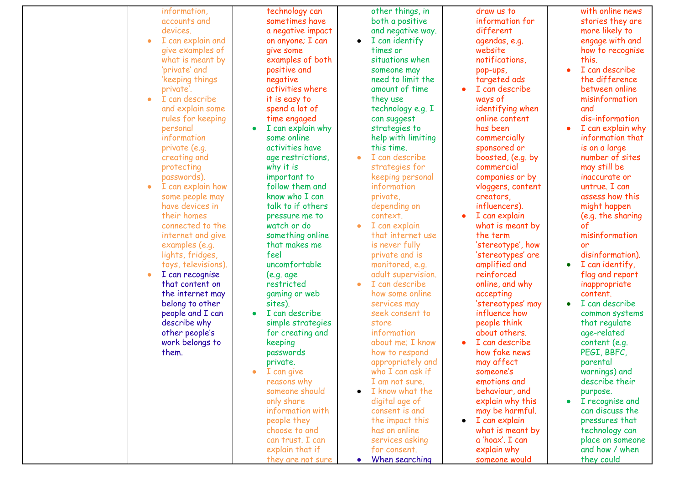|           | information,        |           | technology can    |           | other things, in   |           | draw us to        |           | with online news  |
|-----------|---------------------|-----------|-------------------|-----------|--------------------|-----------|-------------------|-----------|-------------------|
|           | accounts and        |           | sometimes have    |           | both a positive    |           | information for   |           | stories they are  |
|           | devices.            |           | a negative impact |           | and negative way.  |           | different         |           | more likely to    |
| $\bullet$ | I can explain and   |           | on anyone; I can  | $\bullet$ | I can identify     |           | agendas, e.g.     |           | engage with and   |
|           | give examples of    |           | give some         |           | times or           |           | website           |           | how to recognise  |
|           | what is meant by    |           | examples of both  |           | situations when    |           | notifications,    |           | this.             |
|           | 'private' and       |           | positive and      |           | someone may        |           | pop-ups,          | $\bullet$ | I can describe    |
|           | 'keeping things     |           | negative          |           | need to limit the  |           | targeted ads      |           | the difference    |
|           | private'.           |           | activities where  |           | amount of time     |           | I can describe    |           | between online    |
| $\bullet$ | I can describe      |           | it is easy to     |           | they use           |           | ways of           |           | misinformation    |
|           | and explain some    |           | spend a lot of    |           | technology e.g. I  |           | identifying when  |           | and               |
|           |                     |           |                   |           |                    |           | online content    |           | dis-information   |
|           | rules for keeping   |           | time engaged      |           | can suggest        |           |                   |           |                   |
|           | personal            | $\bullet$ | I can explain why |           | strategies to      |           | has been          | $\bullet$ | I can explain why |
|           | information         |           | some online       |           | help with limiting |           | commercially      |           | information that  |
|           | private (e.g.       |           | activities have   |           | this time.         |           | sponsored or      |           | is on a large     |
|           | creating and        |           | age restrictions, |           | I can describe     |           | boosted, (e.g. by |           | number of sites   |
|           | protecting          |           | why it is         |           | strategies for     |           | commercial        |           | may still be      |
|           | passwords).         |           | important to      |           | keeping personal   |           | companies or by   |           | inaccurate or     |
| $\bullet$ | I can explain how   |           | follow them and   |           | information        |           | vloggers, content |           | untrue. I can     |
|           | some people may     |           | know who I can    |           | private,           |           | creators,         |           | assess how this   |
|           | have devices in     |           | talk to if others |           | depending on       |           | influencers).     |           | might happen      |
|           | their homes         |           | pressure me to    |           | context.           |           | I can explain     |           | (e.g. the sharing |
|           | connected to the    |           | watch or do       |           | I can explain      |           | what is meant by  |           | of                |
|           | internet and give   |           | something online  |           | that internet use  |           | the term          |           | misinformation    |
|           | examples (e.g.      |           | that makes me     |           | is never fully     |           | 'stereotype', how |           | or                |
|           | lights, fridges,    |           | feel              |           | private and is     |           | 'stereotypes' are |           | disinformation).  |
|           | toys, televisions). |           | uncomfortable     |           | monitored, e.g.    |           | amplified and     | $\bullet$ | I can identify,   |
| $\bullet$ | I can recognise     |           | (e.g. age)        |           | adult supervision. |           | reinforced        |           | flag and report   |
|           | that content on     |           | restricted        |           | I can describe     |           | online, and why   |           | inappropriate     |
|           | the internet may    |           | gaming or web     |           | how some online    |           | accepting         |           | content.          |
|           | belong to other     |           | sites).           |           | services may       |           | 'stereotypes' may | $\bullet$ | I can describe    |
|           | people and I can    | $\bullet$ | I can describe    |           | seek consent to    |           | influence how     |           | common systems    |
|           | describe why        |           | simple strategies |           | store              |           | people think      |           | that regulate     |
|           | other people's      |           | for creating and  |           | information        |           | about others.     |           | age-related       |
|           | work belongs to     |           | keeping           |           | about me; I know   |           | I can describe    |           | content (e.g.     |
|           | them.               |           | passwords         |           | how to respond     |           | how fake news     |           | PEGI, BBFC,       |
|           |                     |           | private.          |           | appropriately and  |           | may affect        |           | parental          |
|           |                     | $\bullet$ | I can give        |           | who I can ask if   |           | someone's         |           | warnings) and     |
|           |                     |           | reasons why       |           | I am not sure.     |           | emotions and      |           | describe their    |
|           |                     |           | someone should    |           | I know what the    |           |                   |           |                   |
|           |                     |           |                   |           |                    |           | behaviour, and    |           | purpose.          |
|           |                     |           | only share        |           | digital age of     |           | explain why this  | $\bullet$ | I recognise and   |
|           |                     |           | information with  |           | consent is and     |           | may be harmful.   |           | can discuss the   |
|           |                     |           | people they       |           | the impact this    | $\bullet$ | I can explain     |           | pressures that    |
|           |                     |           | choose to and     |           | has on online      |           | what is meant by  |           | technology can    |
|           |                     |           | can trust. I can  |           | services asking    |           | a 'hoax'. I can   |           | place on someone  |
|           |                     |           | explain that if   |           | for consent.       |           | explain why       |           | and how / when    |
|           |                     |           | they are not sure | $\bullet$ | When searching     |           | someone would     |           | they could        |